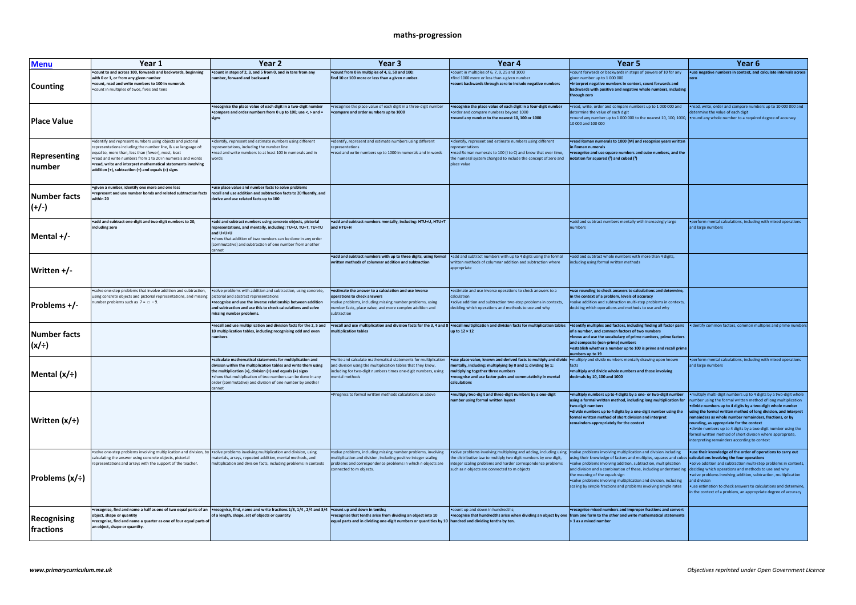## **maths-progression**

| <b>Menu</b>                    | Year 1                                                                                                                                                                                                                                                                                                                                                               | Year 2                                                                                                                                                                                                                                                                                                                                 | Year 3                                                                                                                                                                                                                      | Year 4                                                                                                                                                                                                                                                                                                               | Year 5                                                                                                                                                                                                                                                                                                                                                                                                                        | Year 6                                                                                                                                                                                                                                                                                                                                                                                                                                                                                                                                                   |
|--------------------------------|----------------------------------------------------------------------------------------------------------------------------------------------------------------------------------------------------------------------------------------------------------------------------------------------------------------------------------------------------------------------|----------------------------------------------------------------------------------------------------------------------------------------------------------------------------------------------------------------------------------------------------------------------------------------------------------------------------------------|-----------------------------------------------------------------------------------------------------------------------------------------------------------------------------------------------------------------------------|----------------------------------------------------------------------------------------------------------------------------------------------------------------------------------------------------------------------------------------------------------------------------------------------------------------------|-------------------------------------------------------------------------------------------------------------------------------------------------------------------------------------------------------------------------------------------------------------------------------------------------------------------------------------------------------------------------------------------------------------------------------|----------------------------------------------------------------------------------------------------------------------------------------------------------------------------------------------------------------------------------------------------------------------------------------------------------------------------------------------------------------------------------------------------------------------------------------------------------------------------------------------------------------------------------------------------------|
| Counting                       | .<br>count to and across 100, forwards and backwards, beginning<br>with 0 or 1, or from any given number<br>count, read and write numbers to 100 in numerals<br>count in multiples of twos, fives and tens                                                                                                                                                           | . count in steps of 2, 3, and 5 from 0, and in tens from any<br>umber, forward and backward                                                                                                                                                                                                                                            | .count from 0 in multiples of 4, 8, 50 and 100;<br>find 10 or 100 more or less than a given number.                                                                                                                         | .count in multiples of 6, 7, 9, 25 and 1000<br>find 1000 more or less than a given number<br>.count backwards through zero to include negative numbers                                                                                                                                                               | .count forwards or backwards in steps of powers of 10 for any<br>given number up to 1 000 000<br>•interpret negative numbers in context, count forwards and<br>backwards with positive and negative whole numbers, including<br>through zero                                                                                                                                                                                  | •use negative numbers in context, and calculate intervals across                                                                                                                                                                                                                                                                                                                                                                                                                                                                                         |
| <b>Place Value</b>             |                                                                                                                                                                                                                                                                                                                                                                      | recognise the place value of each digit in a two-digit number<br>. compare and order numbers from 0 up to 100: use <, > and =<br>signs                                                                                                                                                                                                 | recognise the place value of each digit in a three-digit number<br>compare and order numbers up to 1000                                                                                                                     | •recognise the place value of each digit in a four-digit number<br>.order and compare numbers beyond 1000<br>round any number to the nearest 10, 100 or 1000                                                                                                                                                         | .read, write, order and compare numbers up to 1 000 000 and<br>determine the value of each digit<br>•round any number up to 1 000 000 to the nearest 10, 100, 1000, •round any whole number to a required degree of accuracy<br>10.000 and 100.000                                                                                                                                                                            | .read, write, order and compare numbers up to 10 000 000 and<br>etermine the value of each digit                                                                                                                                                                                                                                                                                                                                                                                                                                                         |
| Representing<br>number         | identify and represent numbers using objects and pictorial<br>representations including the number line, & use language of:<br>equal to, more than, less than (fewer), most, least<br>read and write numbers from 1 to 20 in numerals and words<br>read, write and interpret mathematical statements involving<br>addition (+), subtraction (-) and equals (=) signs | ·identify, represent and estimate numbers using different<br>representations, including the number line<br>read and write numbers to at least 100 in numerals and in<br>words                                                                                                                                                          | • identify, represent and estimate numbers using different<br>epresentations<br>.read and write numbers up to 1000 in numerals and in words                                                                                 | • identify, represent and estimate numbers using different<br>epresentations<br>.read Roman numerals to 100 (I to C) and know that over time<br>the numeral system changed to include the concept of zero and<br>place value                                                                                         | •read Roman numerals to 1000 (M) and recognise years written<br>Roman numerals<br><b>•recognise and use square numbers and cube numbers, and the</b><br>notation for squared (2) and cubed (3)                                                                                                                                                                                                                                |                                                                                                                                                                                                                                                                                                                                                                                                                                                                                                                                                          |
| <b>Number facts</b><br>$(+/-)$ | ·given a number, identify one more and one less<br>represent and use number bonds and related subtraction facts<br>vithin 20                                                                                                                                                                                                                                         | .use place value and number facts to solve problems<br>recall and use addition and subtraction facts to 20 fluently, and<br>derive and use related facts up to 100                                                                                                                                                                     |                                                                                                                                                                                                                             |                                                                                                                                                                                                                                                                                                                      |                                                                                                                                                                                                                                                                                                                                                                                                                               |                                                                                                                                                                                                                                                                                                                                                                                                                                                                                                                                                          |
| Mental +/-                     | add and subtract one-digit and two-digit numbers to 20,<br>including zero                                                                                                                                                                                                                                                                                            | ·add and subtract numbers using concrete objects, pictorial<br>representations, and mentally, including: TU+U, TU+T, TU+TU<br>and U+U+U<br>. show that addition of two numbers can be done in any order<br>(commutative) and subtraction of one number from another<br>annot                                                           | add and subtract numbers mentally, including: HTU+U, HTU+T<br>and HTU+H                                                                                                                                                     |                                                                                                                                                                                                                                                                                                                      | .add and subtract numbers mentally with increasingly large<br>numbers                                                                                                                                                                                                                                                                                                                                                         | . perform mental calculations, including with mixed operations<br>and large numbers                                                                                                                                                                                                                                                                                                                                                                                                                                                                      |
| Written +/-                    |                                                                                                                                                                                                                                                                                                                                                                      |                                                                                                                                                                                                                                                                                                                                        | • add and subtract numbers with up to three digits, using formal • add and subtract numbers with up to 4 digits using the formal<br>tten methods of columnar addition and subtraction                                       | written methods of columnar addition and subtraction where<br>appropriate                                                                                                                                                                                                                                            | .add and subtract whole numbers with more than 4 digits,<br>including using formal written methods                                                                                                                                                                                                                                                                                                                            |                                                                                                                                                                                                                                                                                                                                                                                                                                                                                                                                                          |
| Problems +/-                   | . solve one-step problems that involve addition and subtraction,<br>using concrete objects and pictorial representations, and missing<br>umber problems such as $7 = 9$ .                                                                                                                                                                                            | . solve problems with addition and subtraction, using concrete,<br>pictorial and abstract representations<br>•recognise and use the inverse relationship between addition<br>and subtraction and use this to check calculations and solve<br>issing number problems                                                                    | .estimate the answer to a calculation and use inverse<br>operations to check answers<br>·solve problems, including missing number problems, using<br>number facts, place value, and more complex addition and<br>ubtraction | ·estimate and use inverse operations to check answers to a<br>calculation<br>.solve addition and subtraction two-step problems in contexts,<br>deciding which operations and methods to use and why                                                                                                                  | •use rounding to check answers to calculations and determine,<br>in the context of a problem, levels of accuracy<br>.solve addition and subtraction multi-step problems in contexts,<br>deciding which operations and methods to use and why                                                                                                                                                                                  |                                                                                                                                                                                                                                                                                                                                                                                                                                                                                                                                                          |
| Number facts<br>$(x/\div)$     |                                                                                                                                                                                                                                                                                                                                                                      | . recall and use multiplication and division facts for the 2, 5 and<br>10 multiplication tables, including recognising odd and even<br><b>umbers</b>                                                                                                                                                                                   | nultiplication tables                                                                                                                                                                                                       | •recall and use multiplication and division facts for the 3, 4 and 8 •recall multiplication and division facts for multiplication tables<br>up to $12 \times 12$                                                                                                                                                     | of a number, and common factors of two numbers<br>. know and use the vocabulary of prime numbers, prime factors<br>and composite (non-prime) numbers<br>• establish whether a number up to 100 is prime and recall prime<br>numbers up to 19                                                                                                                                                                                  | ·identify multiples and factors, including finding all factor pairs ·identify common factors, common multiples and prime numbers                                                                                                                                                                                                                                                                                                                                                                                                                         |
| Mental (x/÷)                   |                                                                                                                                                                                                                                                                                                                                                                      | . calculate mathematical statements for multiplication and<br>ivision within the multiplication tables and write them using<br>the multiplication $(x)$ , division $(+)$ and equals $(=)$ signs<br>. show that multiplication of two numbers can be done in any<br>order (commutative) and division of one number by another<br>annot: | write and calculate mathematical statements for multiplication<br>and division using the multiplication tables that they know,<br>including for two-digit numbers times one-digit numbers, using<br>nental methods          | • use place value, known and derived facts to multiply and divide · multiply and divide numbers mentally drawing upon known<br>nentally, including: multiplying by 0 and 1; dividing by 1;<br>multiplying together three numbers<br>recognise and use factor pairs and commutativity in mental<br>calculations       | .multiply and divide whole numbers and those involving<br>decimals by 10, 100 and 1000                                                                                                                                                                                                                                                                                                                                        | .perform mental calculations, including with mixed operations<br>and large numbers                                                                                                                                                                                                                                                                                                                                                                                                                                                                       |
| Written (x/÷)                  |                                                                                                                                                                                                                                                                                                                                                                      |                                                                                                                                                                                                                                                                                                                                        | . Progress to formal written methods calculations as above                                                                                                                                                                  | . multiply two-digit and three-digit numbers by a one-digit<br>imber using formal written layout                                                                                                                                                                                                                     | . multiply numbers up to 4 digits by a one- or two-digit number<br>using a formal written method, including long multiplication for<br>two-digit numbers<br>•divide numbers up to 4 digits by a one-digit number using the<br>formal written method of short division and interpret<br>remainders appropriately for the context                                                                                               | multiply multi-digit numbers up to 4 digits by a two-digit whole<br>umber using the formal written method of long multiplication<br>.divide numbers up to 4 digits by a two-digit whole number<br>using the formal written method of long division, and interpret<br>remainders as whole number remainders, fractions, or by<br>rounding, as appropriate for the context<br>·divide numbers up to 4 digits by a two-digit number using the<br>formal written method of short division where appropriate,<br>interpreting remainders according to context |
| <b>Problems</b> $(x/\div)$     | solve one-step problems involving multiplication and division, by •solve problems involving multiplication and division, using<br>calculating the answer using concrete objects, pictorial<br>representations and arrays with the support of the teacher.                                                                                                            | materials, arrays, repeated addition, mental methods, and<br>multiplication and division facts, including problems in contexts                                                                                                                                                                                                         | .solve problems, including missing number problems, involving<br>multiplication and division, including positive integer scaling<br>problems and correspondence problems in which n objects are<br>connected to m objects.  | •solve problems involving multiplying and adding, including using •solve problems involving multiplication and division including<br>the distributive law to multiply two digit numbers by one digit.<br>integer scaling problems and harder correspondence problems<br>such as n objects are connected to m objects | using their knowledge of factors and multiples, squares and cubes calculations involving the four operations<br>.solve problems involving addition, subtraction, multiplication<br>and division and a combination of these, including understanding<br>the meaning of the equals sign<br>. solve problems involving multiplication and division, including<br>scaling by simple fractions and problems involving simple rates | •use their knowledge of the order of operations to carry out<br>.solve addition and subtraction multi-step problems in contexts,<br>deciding which operations and methods to use and why<br>solve problems involving addition, subtraction, multiplication<br>and division<br>•use estimation to check answers to calculations and determine,<br>in the context of a problem, an appropriate degree of accuracy                                                                                                                                          |
| Recognising<br>fractions       | object, shape or quantity<br>recognise, find and name a quarter as one of four equal parts of<br>an object, shape or quantity.                                                                                                                                                                                                                                       | •recognise, find and name a half as one of two equal parts of an •recognise, find, name and write fractions 1/3, 1/4, 2/4 and 3/4 •count up and down in tenths;<br>of a length, shape, set of objects or quantity                                                                                                                      | •recognise that tenths arise from dividing an object into 10<br>equal parts and in dividing one-digit numbers or quantities by 10 hundred and dividing tenths by ten.                                                       | . count up and down in hundredths                                                                                                                                                                                                                                                                                    | •recognise mixed numbers and improper fractions and convert<br>•recognise that hundredths arise when dividing an object by one from one form to the other and write mathematical statements<br>> 1 as a mixed number                                                                                                                                                                                                          |                                                                                                                                                                                                                                                                                                                                                                                                                                                                                                                                                          |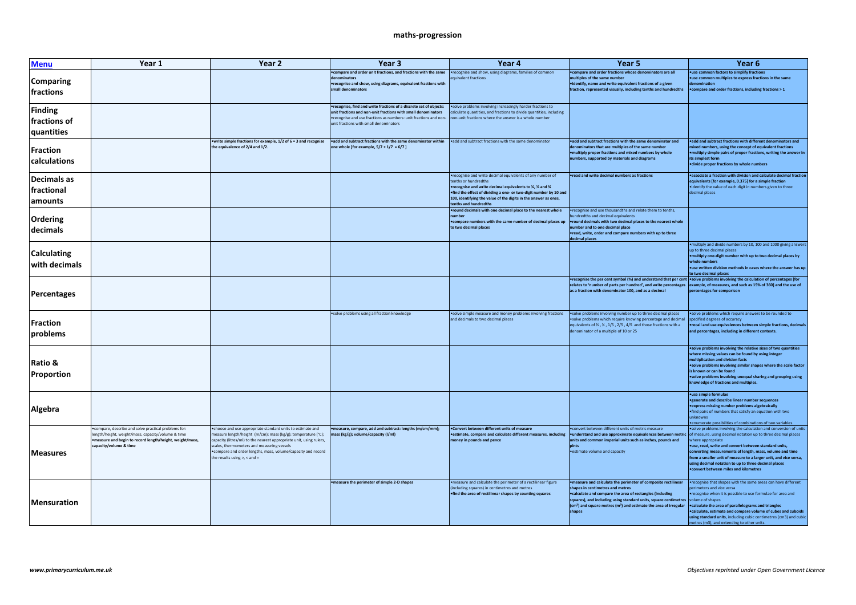## **maths-progression**

| <b>Menu</b>                           | Year 1                                                                                                                                                                                             | Year 2                                                                                                                                                                                                                                                                                                                                               | Year 3                                                                                                                                                                                                                                                                                                   | Year 4                                                                                                                                                                                                                                                                                                        | Year 5                                                                                                                                                                                                                                                                                                                | Year 6                                                                                                                                                                                                                                                                                                                                                                                                                                           |
|---------------------------------------|----------------------------------------------------------------------------------------------------------------------------------------------------------------------------------------------------|------------------------------------------------------------------------------------------------------------------------------------------------------------------------------------------------------------------------------------------------------------------------------------------------------------------------------------------------------|----------------------------------------------------------------------------------------------------------------------------------------------------------------------------------------------------------------------------------------------------------------------------------------------------------|---------------------------------------------------------------------------------------------------------------------------------------------------------------------------------------------------------------------------------------------------------------------------------------------------------------|-----------------------------------------------------------------------------------------------------------------------------------------------------------------------------------------------------------------------------------------------------------------------------------------------------------------------|--------------------------------------------------------------------------------------------------------------------------------------------------------------------------------------------------------------------------------------------------------------------------------------------------------------------------------------------------------------------------------------------------------------------------------------------------|
| Comparing<br>fractions                |                                                                                                                                                                                                    |                                                                                                                                                                                                                                                                                                                                                      | • compare and order unit fractions, and fractions with the same<br>denominators<br>•recognise and show, using diagrams, equivalent fractions with<br>small denominators                                                                                                                                  | •recognise and show, using diagrams, families of common<br>quivalent fractions                                                                                                                                                                                                                                | . compare and order fractions whose denominators are all<br>multiples of the same number<br>•identify, name and write equivalent fractions of a given<br>fraction, represented visually, including tenths and hundredths                                                                                              | ·use common factors to simplify fractions<br>•use common multiples to express fractions in the same<br>enomination<br>• compare and order fractions, including fractions > 1                                                                                                                                                                                                                                                                     |
| Finding<br>fractions of<br>quantities |                                                                                                                                                                                                    |                                                                                                                                                                                                                                                                                                                                                      | •recognise, find and write fractions of a discrete set of objects:<br>unit fractions and non-unit fractions with small denominators<br>. recognise and use fractions as numbers: unit fractions and non- non-unit fractions where the answer is a whole number<br>unit fractions with small denominators | .solve problems involving increasingly harder fractions to<br>calculate quantities, and fractions to divide quantities, including                                                                                                                                                                             |                                                                                                                                                                                                                                                                                                                       |                                                                                                                                                                                                                                                                                                                                                                                                                                                  |
| Fraction<br>calculations              |                                                                                                                                                                                                    | • write simple fractions for example, 1/2 of 6 = 3 and recognise<br>the equivalence of 2/4 and 1/2.                                                                                                                                                                                                                                                  | .add and subtract fractions with the same denominator within<br>one whole [for example, $5/7 + 1/7 = 6/7$ ]                                                                                                                                                                                              | .add and subtract fractions with the same denominator                                                                                                                                                                                                                                                         | .add and subtract fractions with the same denominator and<br>denominators that are multiples of the same number<br>·multiply proper fractions and mixed numbers by whole<br>numbers, supported by materials and diagrams                                                                                              | .add and subtract fractions with different denominators and<br>mixed numbers, using the concept of equivalent fractions<br>• multiply simple pairs of proper fractions, writing the answer in<br>its simplest form<br>·divide proper fractions by whole numbers                                                                                                                                                                                  |
| Decimals as<br>fractional<br>amounts  |                                                                                                                                                                                                    |                                                                                                                                                                                                                                                                                                                                                      |                                                                                                                                                                                                                                                                                                          | •recognise and write decimal equivalents of any number of<br>tenths or hundredths<br>•recognise and write decimal equivalents to %, % and %<br>. find the effect of dividing a one- or two-digit number by 10 and<br>100, identifying the value of the digits in the answer as ones,<br>tenths and hundredths | •read and write decimal numbers as fractions                                                                                                                                                                                                                                                                          | . associate a fraction with division and calculate decimal fraction<br>equivalents [for example, 0.375] for a simple fraction<br>·identify the value of each digit in numbers given to three<br>decimal places                                                                                                                                                                                                                                   |
| Ordering<br>decimals                  |                                                                                                                                                                                                    |                                                                                                                                                                                                                                                                                                                                                      |                                                                                                                                                                                                                                                                                                          | . round decimals with one decimal place to the nearest whole<br>number<br>. compare numbers with the same number of decimal places up<br>to two decimal places                                                                                                                                                | . recognise and use thousandths and relate them to tenths,<br>undredths and decimal equivalents<br>•round decimals with two decimal places to the nearest whole<br>number and to one decimal place<br>•read, write, order and compare numbers with up to three<br>decimal places                                      |                                                                                                                                                                                                                                                                                                                                                                                                                                                  |
| <b>Calculating</b><br>with decimals   |                                                                                                                                                                                                    |                                                                                                                                                                                                                                                                                                                                                      |                                                                                                                                                                                                                                                                                                          |                                                                                                                                                                                                                                                                                                               |                                                                                                                                                                                                                                                                                                                       | . multiply and divide numbers by 10, 100 and 1000 giving answers<br>un to three decimal places<br>•multiply one-digit number with up to two decimal places by<br>whole numbers<br>•use written division methods in cases where the answer has up<br>to two decimal places                                                                                                                                                                        |
| Percentages                           |                                                                                                                                                                                                    |                                                                                                                                                                                                                                                                                                                                                      |                                                                                                                                                                                                                                                                                                          |                                                                                                                                                                                                                                                                                                               | •recognise the per cent symbol (%) and understand that per cent •solve problems involving the calculation of percentages [for<br>relates to 'number of parts per hundred', and write percentages example, of measures, and such as 15% of 360] and the use of<br>as a fraction with denominator 100, and as a decimal | percentages for comparison                                                                                                                                                                                                                                                                                                                                                                                                                       |
| <b>Fraction</b><br>problems           |                                                                                                                                                                                                    |                                                                                                                                                                                                                                                                                                                                                      | · solve problems using all fraction knowledge                                                                                                                                                                                                                                                            | .solve simple measure and money problems involving fractions<br>and decimals to two decimal places                                                                                                                                                                                                            | .solve problems involving number up to three decimal places<br>.solve problems which require knowing percentage and decimal<br>equivalents of %, %, 1/5, 2/5, 4/5 and those fractions with a<br>denominator of a multiple of 10 or 25                                                                                 | .solve problems which require answers to be rounded to<br>specified degrees of accuracy<br>•recall and use equivalences between simple fractions, decimals<br>and percentages, including in different contexts.                                                                                                                                                                                                                                  |
| Ratio &<br>Proportion                 |                                                                                                                                                                                                    |                                                                                                                                                                                                                                                                                                                                                      |                                                                                                                                                                                                                                                                                                          |                                                                                                                                                                                                                                                                                                               |                                                                                                                                                                                                                                                                                                                       | .solve problems involving the relative sizes of two quantities<br>where missing values can be found by using integer<br>multiplication and division facts<br>.solve problems involving similar shapes where the scale factor<br>is known or can be found<br>.solve problems involving unequal sharing and grouping using<br>nowledge of fractions and multiples                                                                                  |
| Algebra                               |                                                                                                                                                                                                    |                                                                                                                                                                                                                                                                                                                                                      |                                                                                                                                                                                                                                                                                                          |                                                                                                                                                                                                                                                                                                               |                                                                                                                                                                                                                                                                                                                       | ·use simple formulae<br>• generate and describe linear number sequences<br>• express missing number problems algebraically<br>. find pairs of numbers that satisfy an equation with two<br>unknowns<br>• enumerate possibilities of combinations of two variables.                                                                                                                                                                               |
| Measures                              | . compare, describe and solve practical problems for:<br>length/height, weight/mass, capacity/volume & time<br>. measure and begin to record length/height, weight/mass,<br>capacity/volume & time | . choose and use appropriate standard units to estimate and<br>measure length/height (m/cm); mass (kg/g); temperature (°C);<br>capacity (litres/ml) to the nearest appropriate unit, using rulers,<br>scales, thermometers and measuring vessels<br>. compare and order lengths, mass, volume/capacity and record<br>the results using $>$ , < and = | ·measure, compare, add and subtract: lengths (m/cm/mm);<br>mass (kg/g); volume/capacity (l/ml)                                                                                                                                                                                                           | . Convert between different units of measure<br>money in pounds and pence                                                                                                                                                                                                                                     | .convert between different units of metric measure<br>•estimate, compare and calculate different measures, including   •understand and use approximate equivalences between metric<br>units and common imperial units such as inches, pounds and<br>pints<br>·estimate volume and capacity                            | .solve problems involving the calculation and conversion of units<br>of measure, using decimal notation up to three decimal places<br>where appropriate<br>.use, read, write and convert between standard units,<br>converting measurements of length, mass, volume and time<br>from a smaller unit of measure to a larger unit, and vice versa,<br>using decimal notation to up to three decimal places<br>convert between miles and kilometres |
| Mensuration                           |                                                                                                                                                                                                    |                                                                                                                                                                                                                                                                                                                                                      | • measure the perimeter of simple 2-D shapes                                                                                                                                                                                                                                                             | . measure and calculate the perimeter of a rectilinear figure<br>(including squares) in centimetres and metres<br>. find the area of rectilinear shapes by counting squares                                                                                                                                   | •measure and calculate the perimeter of composite rectilinear<br>shapes in centimetres and metres<br>•calculate and compare the area of rectangles (including<br>squares), and including using standard units, square centimetres<br>$(cm2)$ and square metres $(m2)$ and estimate the area of irregular<br>shapes    | . recognise that shapes with the same areas can have different<br>erimeters and vice versal<br>•recognise when it is possible to use formulae for area and<br>volume of shapes<br><b>.</b> calculate the area of parallelograms and triangles<br>.calculate, estimate and compare volume of cubes and cuboids<br>using standard units, including cubic centimetres (cm3) and cubic<br>metres (m3), and extending to other units.                 |